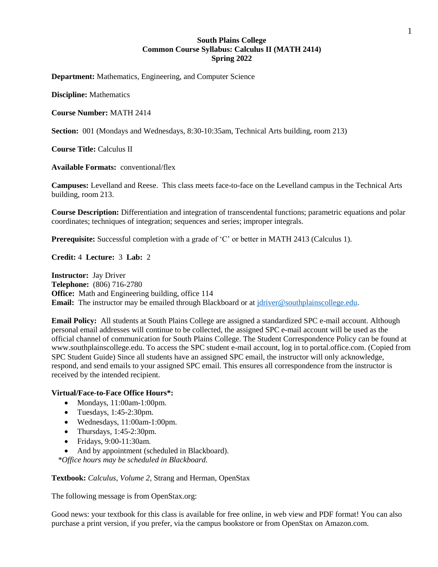## **South Plains College Common Course Syllabus: Calculus II (MATH 2414) Spring 2022**

**Department:** Mathematics, Engineering, and Computer Science

**Discipline:** Mathematics

#### **Course Number:** MATH 2414

**Section:** 001 (Mondays and Wednesdays, 8:30-10:35am, Technical Arts building, room 213)

**Course Title:** Calculus II

**Available Formats:** conventional/flex

**Campuses:** Levelland and Reese. This class meets face-to-face on the Levelland campus in the Technical Arts building, room 213.

**Course Description:** Differentiation and integration of transcendental functions; parametric equations and polar coordinates; techniques of integration; sequences and series; improper integrals.

**Prerequisite:** Successful completion with a grade of 'C' or better in MATH 2413 (Calculus 1).

**Credit:** 4 **Lecture:** 3 **Lab:** 2

**Instructor:** Jay Driver **Telephone:** (806) 716-2780 **Office:** Math and Engineering building, office 114 **Email:** The instructor may be emailed through Blackboard or at [jdriver@southplainscollege.edu.](mailto:jdriver@southplainscollege.edu)

**Email Policy:** All students at South Plains College are assigned a standardized SPC e-mail account. Although personal email addresses will continue to be collected, the assigned SPC e-mail account will be used as the official channel of communication for South Plains College. The Student Correspondence Policy can be found at www.southplainscollege.edu. To access the SPC student e-mail account, log in to portal.office.com. (Copied from SPC Student Guide) Since all students have an assigned SPC email, the instructor will only acknowledge, respond, and send emails to your assigned SPC email. This ensures all correspondence from the instructor is received by the intended recipient.

#### **Virtual/Face-to-Face Office Hours\*:**

- Mondays, 11:00am-1:00pm.
- Tuesdays, 1:45-2:30pm.
- Wednesdays, 11:00am-1:00pm.
- Thursdays,  $1:45-2:30$ pm.
- Fridays, 9:00-11:30am.
- And by appointment (scheduled in Blackboard).

*\*Office hours may be scheduled in Blackboard.*

#### **Textbook:** *Calculus, Volume 2*, Strang and Herman, OpenStax

The following message is from OpenStax.org:

Good news: your textbook for this class is available for free online, in web view and PDF format! You can also purchase a print version, if you prefer, via the campus bookstore or from OpenStax on Amazon.com.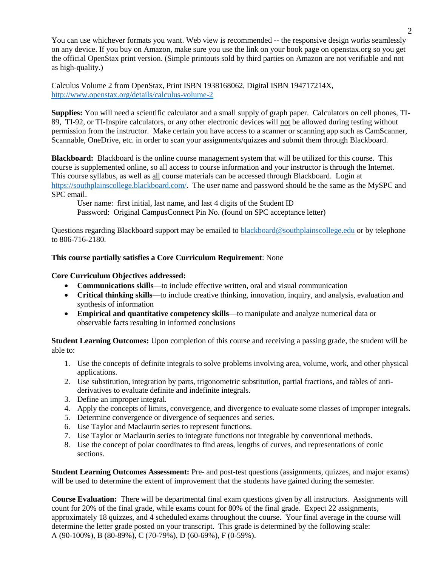You can use whichever formats you want. Web view is recommended -- the responsive design works seamlessly on any device. If you buy on Amazon, make sure you use the link on your book page on openstax.org so you get the official OpenStax print version. (Simple printouts sold by third parties on Amazon are not verifiable and not as high-quality.)

Calculus Volume 2 from OpenStax, Print ISBN 1938168062, Digital ISBN 194717214X, <http://www.openstax.org/details/calculus-volume-2>

**Supplies:** You will need a scientific calculator and a small supply of graph paper. Calculators on cell phones, TI-89, TI-92, or TI-Inspire calculators, or any other electronic devices will not be allowed during testing without permission from the instructor. Make certain you have access to a scanner or scanning app such as CamScanner, Scannable, OneDrive, etc. in order to scan your assignments/quizzes and submit them through Blackboard.

**Blackboard:** Blackboard is the online course management system that will be utilized for this course. This course is supplemented online, so all access to course information and your instructor is through the Internet. This course syllabus, as well as all course materials can be accessed through Blackboard. Login at [https://southplainscollege.blackboard.com/.](https://southplainscollege.blackboard.com/) The user name and password should be the same as the MySPC and SPC email.

User name: first initial, last name, and last 4 digits of the Student ID Password: Original CampusConnect Pin No. (found on SPC acceptance letter)

Questions regarding Blackboard support may be emailed to [blackboard@southplainscollege.edu](mailto:blackboard@southplainscollege.edu) or by telephone to 806-716-2180.

# **This course partially satisfies a Core Curriculum Requirement**: None

### **Core Curriculum Objectives addressed:**

- **Communications skills**—to include effective written, oral and visual communication
- **Critical thinking skills**—to include creative thinking, innovation, inquiry, and analysis, evaluation and synthesis of information
- **Empirical and quantitative competency skills**—to manipulate and analyze numerical data or observable facts resulting in informed conclusions

**Student Learning Outcomes:** Upon completion of this course and receiving a passing grade, the student will be able to:

- 1. Use the concepts of definite integrals to solve problems involving area, volume, work, and other physical applications.
- 2. Use substitution, integration by parts, trigonometric substitution, partial fractions, and tables of antiderivatives to evaluate definite and indefinite integrals.
- 3. Define an improper integral.
- 4. Apply the concepts of limits, convergence, and divergence to evaluate some classes of improper integrals.
- 5. Determine convergence or divergence of sequences and series.
- 6. Use Taylor and Maclaurin series to represent functions.
- 7. Use Taylor or Maclaurin series to integrate functions not integrable by conventional methods.
- 8. Use the concept of polar coordinates to find areas, lengths of curves, and representations of conic sections.

**Student Learning Outcomes Assessment:** Pre- and post-test questions (assignments, quizzes, and major exams) will be used to determine the extent of improvement that the students have gained during the semester.

**Course Evaluation:** There will be departmental final exam questions given by all instructors. Assignments will count for 20% of the final grade, while exams count for 80% of the final grade. Expect 22 assignments, approximately 18 quizzes, and 4 scheduled exams throughout the course. Your final average in the course will determine the letter grade posted on your transcript. This grade is determined by the following scale: A (90-100%), B (80-89%), C (70-79%), D (60-69%), F (0-59%).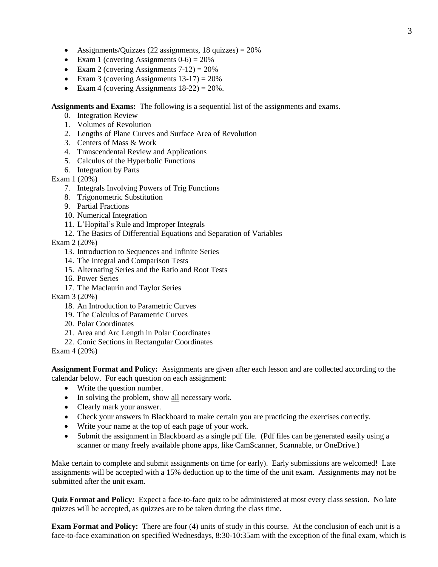- Assignments/Quizzes (22 assignments, 18 quizzes)  $= 20\%$
- Exam 1 (covering Assignments  $0-6$ ) = 20%
- Exam 2 (covering Assignments  $7-12$ ) =  $20\%$
- Exam 3 (covering Assignments  $13-17$ ) = 20%
- Exam 4 (covering Assignments  $18-22$ ) =  $20\%$ .

**Assignments and Exams:** The following is a sequential list of the assignments and exams.

- 0. Integration Review
- 1. Volumes of Revolution
- 2. Lengths of Plane Curves and Surface Area of Revolution
- 3. Centers of Mass & Work
- 4. Transcendental Review and Applications
- 5. Calculus of the Hyperbolic Functions
- 6. Integration by Parts

### Exam 1 (20%)

- 7. Integrals Involving Powers of Trig Functions
- 8. Trigonometric Substitution
- 9. Partial Fractions
- 10. Numerical Integration
- 11. L'Hopital's Rule and Improper Integrals
- 12. The Basics of Differential Equations and Separation of Variables

Exam 2 (20%)

- 13. Introduction to Sequences and Infinite Series
- 14. The Integral and Comparison Tests
- 15. Alternating Series and the Ratio and Root Tests
- 16. Power Series
- 17. The Maclaurin and Taylor Series

Exam 3 (20%)

- 18. An Introduction to Parametric Curves
- 19. The Calculus of Parametric Curves
- 20. Polar Coordinates
- 21. Area and Arc Length in Polar Coordinates
- 22. Conic Sections in Rectangular Coordinates

Exam 4 (20%)

**Assignment Format and Policy:** Assignments are given after each lesson and are collected according to the calendar below. For each question on each assignment:

- Write the question number.
- In solving the problem, show all necessary work.
- Clearly mark your answer.
- Check your answers in Blackboard to make certain you are practicing the exercises correctly.
- Write your name at the top of each page of your work.
- Submit the assignment in Blackboard as a single pdf file. (Pdf files can be generated easily using a scanner or many freely available phone apps, like CamScanner, Scannable, or OneDrive.)

Make certain to complete and submit assignments on time (or early). Early submissions are welcomed! Late assignments will be accepted with a 15% deduction up to the time of the unit exam. Assignments may not be submitted after the unit exam.

**Quiz Format and Policy:** Expect a face-to-face quiz to be administered at most every class session. No late quizzes will be accepted, as quizzes are to be taken during the class time.

**Exam Format and Policy:** There are four (4) units of study in this course. At the conclusion of each unit is a face-to-face examination on specified Wednesdays, 8:30-10:35am with the exception of the final exam, which is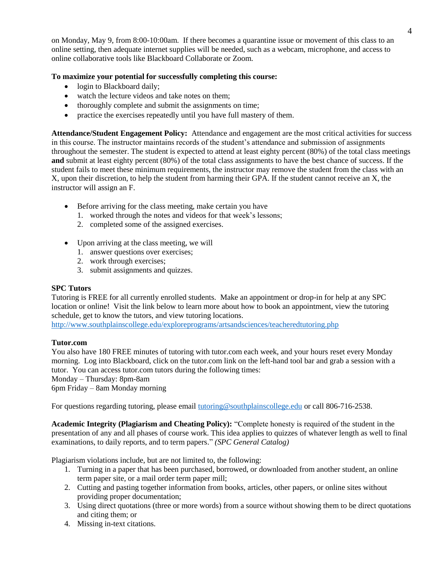on Monday, May 9, from 8:00-10:00am. If there becomes a quarantine issue or movement of this class to an online setting, then adequate internet supplies will be needed, such as a webcam, microphone, and access to online collaborative tools like Blackboard Collaborate or Zoom.

# **To maximize your potential for successfully completing this course:**

- login to Blackboard daily;
- watch the lecture videos and take notes on them:
- thoroughly complete and submit the assignments on time;
- practice the exercises repeatedly until you have full mastery of them.

**Attendance/Student Engagement Policy:** Attendance and engagement are the most critical activities for success in this course. The instructor maintains records of the student's attendance and submission of assignments throughout the semester. The student is expected to attend at least eighty percent (80%) of the total class meetings **and** submit at least eighty percent (80%) of the total class assignments to have the best chance of success. If the student fails to meet these minimum requirements, the instructor may remove the student from the class with an X, upon their discretion, to help the student from harming their GPA. If the student cannot receive an X, the instructor will assign an F.

- Before arriving for the class meeting, make certain you have
	- 1. worked through the notes and videos for that week's lessons;
	- 2. completed some of the assigned exercises.
- Upon arriving at the class meeting, we will
	- 1. answer questions over exercises;
	- 2. work through exercises;
	- 3. submit assignments and quizzes.

### **SPC Tutors**

Tutoring is FREE for all currently enrolled students. Make an appointment or drop-in for help at any SPC location or online! Visit the link below to learn more about how to book an appointment, view the tutoring schedule, get to know the tutors, and view tutoring locations.

<http://www.southplainscollege.edu/exploreprograms/artsandsciences/teacheredtutoring.php>

### **Tutor.com**

You also have 180 FREE minutes of tutoring with tutor.com each week, and your hours reset every Monday morning. Log into Blackboard, click on the tutor.com link on the left-hand tool bar and grab a session with a tutor. You can access tutor.com tutors during the following times: Monday – Thursday: 8pm-8am

6pm Friday – 8am Monday morning

For questions regarding tutoring, please email [tutoring@southplainscollege.edu](mailto:tutoring@southplainscollege.edu) or call 806-716-2538.

**Academic Integrity (Plagiarism and Cheating Policy):** "Complete honesty is required of the student in the presentation of any and all phases of course work. This idea applies to quizzes of whatever length as well to final examinations, to daily reports, and to term papers." *(SPC General Catalog)*

Plagiarism violations include, but are not limited to, the following:

- 1. Turning in a paper that has been purchased, borrowed, or downloaded from another student, an online term paper site, or a mail order term paper mill;
- 2. Cutting and pasting together information from books, articles, other papers, or online sites without providing proper documentation;
- 3. Using direct quotations (three or more words) from a source without showing them to be direct quotations and citing them; or
- 4. Missing in-text citations.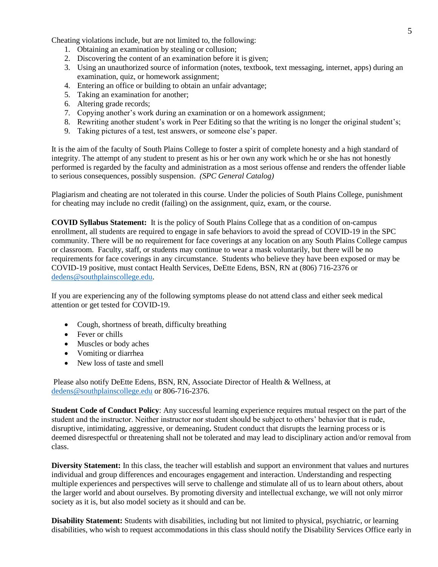Cheating violations include, but are not limited to, the following:

- 1. Obtaining an examination by stealing or collusion;
- 2. Discovering the content of an examination before it is given;
- 3. Using an unauthorized source of information (notes, textbook, text messaging, internet, apps) during an examination, quiz, or homework assignment;
- 4. Entering an office or building to obtain an unfair advantage;
- 5. Taking an examination for another;
- 6. Altering grade records;
- 7. Copying another's work during an examination or on a homework assignment;
- 8. Rewriting another student's work in Peer Editing so that the writing is no longer the original student's;
- 9. Taking pictures of a test, test answers, or someone else's paper.

It is the aim of the faculty of South Plains College to foster a spirit of complete honesty and a high standard of integrity. The attempt of any student to present as his or her own any work which he or she has not honestly performed is regarded by the faculty and administration as a most serious offense and renders the offender liable to serious consequences, possibly suspension. *(SPC General Catalog)*

Plagiarism and cheating are not tolerated in this course. Under the policies of South Plains College, punishment for cheating may include no credit (failing) on the assignment, quiz, exam, or the course.

**COVID Syllabus Statement:** It is the policy of South Plains College that as a condition of on-campus enrollment, all students are required to engage in safe behaviors to avoid the spread of COVID-19 in the SPC community. There will be no requirement for face coverings at any location on any South Plains College campus or classroom. Faculty, staff, or students may continue to wear a mask voluntarily, but there will be no requirements for face coverings in any circumstance. Students who believe they have been exposed or may be COVID-19 positive, must contact Health Services, DeEtte Edens, BSN, RN at (806) 716-2376 or [dedens@southplainscollege.edu.](mailto:dedens@southplainscollege.edu)

If you are experiencing any of the following symptoms please do not attend class and either seek medical attention or get tested for COVID-19.

- Cough, shortness of breath, difficulty breathing
- Fever or chills
- Muscles or body aches
- Vomiting or diarrhea
- New loss of taste and smell

Please also notify DeEtte Edens, BSN, RN, Associate Director of Health & Wellness, at [dedens@southplainscollege.edu](mailto:dedens@southplainscollege.edu) or 806-716-2376.

**Student Code of Conduct Policy**: Any successful learning experience requires mutual respect on the part of the student and the instructor. Neither instructor nor student should be subject to others' behavior that is rude, disruptive, intimidating, aggressive, or demeaning**.** Student conduct that disrupts the learning process or is deemed disrespectful or threatening shall not be tolerated and may lead to disciplinary action and/or removal from class.

**Diversity Statement:** In this class, the teacher will establish and support an environment that values and nurtures individual and group differences and encourages engagement and interaction. Understanding and respecting multiple experiences and perspectives will serve to challenge and stimulate all of us to learn about others, about the larger world and about ourselves. By promoting diversity and intellectual exchange, we will not only mirror society as it is, but also model society as it should and can be.

**Disability Statement:** Students with disabilities, including but not limited to physical, psychiatric, or learning disabilities, who wish to request accommodations in this class should notify the Disability Services Office early in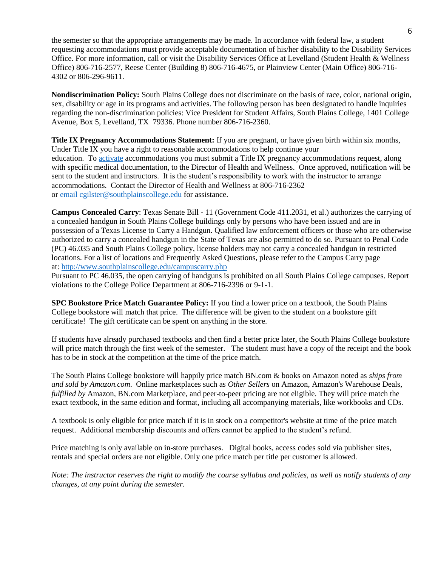the semester so that the appropriate arrangements may be made. In accordance with federal law, a student requesting accommodations must provide acceptable documentation of his/her disability to the Disability Services Office. For more information, call or visit the Disability Services Office at Levelland (Student Health & Wellness Office) 806-716-2577, Reese Center (Building 8) 806-716-4675, or Plainview Center (Main Office) 806-716- 4302 or 806-296-9611.

**Nondiscrimination Policy:** South Plains College does not discriminate on the basis of race, color, national origin, sex, disability or age in its programs and activities. The following person has been designated to handle inquiries regarding the non-discrimination policies: Vice President for Student Affairs, South Plains College, 1401 College Avenue, Box 5, Levelland, TX 79336. Phone number 806-716-2360.

**Title IX Pregnancy Accommodations Statement:** If you are pregnant, or have given birth within six months, Under Title IX you have a right to reasonable accommodations to help continue your education. To [activate](http://www.southplainscollege.edu/employees/manualshandbooks/facultyhandbook/sec4.php) accommodations you must submit a Title IX pregnancy accommodations request, along with specific medical documentation, to the Director of Health and Wellness. Once approved, notification will be sent to the student and instructors. It is the student's responsibility to work with the instructor to arrange accommodations. Contact the Director of Health and Wellness at 806-716-2362 or [email](http://www.southplainscollege.edu/employees/manualshandbooks/facultyhandbook/sec4.php) [cgilster@southplainscollege.edu](mailto:cgilster@southplainscollege.edu) for assistance.

**Campus Concealed Carry**: Texas Senate Bill - 11 (Government Code 411.2031, et al.) authorizes the carrying of a concealed handgun in South Plains College buildings only by persons who have been issued and are in possession of a Texas License to Carry a Handgun. Qualified law enforcement officers or those who are otherwise authorized to carry a concealed handgun in the State of Texas are also permitted to do so. Pursuant to Penal Code (PC) 46.035 and South Plains College policy, license holders may not carry a concealed handgun in restricted locations. For a list of locations and Frequently Asked Questions, please refer to the Campus Carry page at: <http://www.southplainscollege.edu/campuscarry.php>

Pursuant to PC 46.035, the open carrying of handguns is prohibited on all South Plains College campuses. Report violations to the College Police Department at 806-716-2396 or 9-1-1.

**SPC Bookstore Price Match Guarantee Policy:** If you find a lower price on a textbook, the South Plains College bookstore will match that price. The difference will be given to the student on a bookstore gift certificate! The gift certificate can be spent on anything in the store.

If students have already purchased textbooks and then find a better price later, the South Plains College bookstore will price match through the first week of the semester. The student must have a copy of the receipt and the book has to be in stock at the competition at the time of the price match.

The South Plains College bookstore will happily price match BN.com & books on Amazon noted as *ships from and sold by Amazon.com*. Online marketplaces such as *Other Sellers* on Amazon, Amazon's Warehouse Deals, *fulfilled by* Amazon, BN.com Marketplace, and peer-to-peer pricing are not eligible. They will price match the exact textbook, in the same edition and format, including all accompanying materials, like workbooks and CDs.

A textbook is only eligible for price match if it is in stock on a competitor's website at time of the price match request. Additional membership discounts and offers cannot be applied to the student's refund.

Price matching is only available on in-store purchases. Digital books, access codes sold via publisher sites, rentals and special orders are not eligible. Only one price match per title per customer is allowed.

*Note: The instructor reserves the right to modify the course syllabus and policies, as well as notify students of any changes, at any point during the semester.*